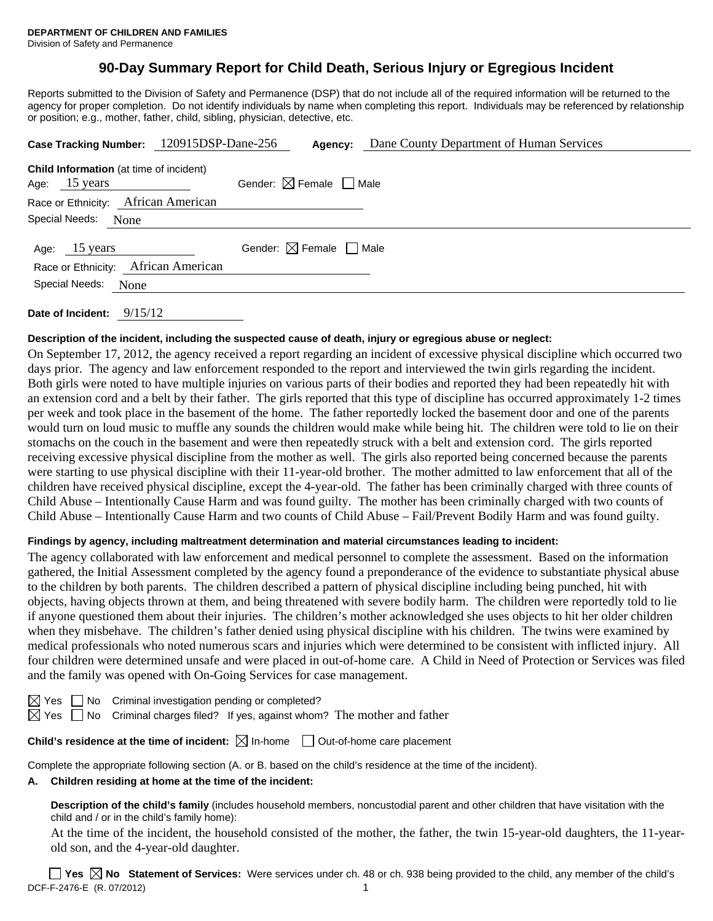# **90-Day Summary Report for Child Death, Serious Injury or Egregious Incident**

Reports submitted to the Division of Safety and Permanence (DSP) that do not include all of the required information will be returned to the agency for proper completion. Do not identify individuals by name when completing this report. Individuals may be referenced by relationship or position; e.g., mother, father, child, sibling, physician, detective, etc.

|                   | Case Tracking Number: 120915DSP-Dane-256       | Agency:                                | Dane County Department of Human Services |
|-------------------|------------------------------------------------|----------------------------------------|------------------------------------------|
| Age: 15 years     | <b>Child Information</b> (at time of incident) | Gender: $\boxtimes$ Female $\Box$ Male |                                          |
|                   | Race or Ethnicity: African American            |                                        |                                          |
| Special Needs:    | None                                           |                                        |                                          |
| Age: 15 years     |                                                | Gender: $\boxtimes$ Female $\Box$ Male |                                          |
|                   | Race or Ethnicity: African American            |                                        |                                          |
| Special Needs:    | None                                           |                                        |                                          |
| Date of Incident: | 9/15/12                                        |                                        |                                          |

## **Description of the incident, including the suspected cause of death, injury or egregious abuse or neglect:**

On September 17, 2012, the agency received a report regarding an incident of excessive physical discipline which occurred two days prior. The agency and law enforcement responded to the report and interviewed the twin girls regarding the incident. Both girls were noted to have multiple injuries on various parts of their bodies and reported they had been repeatedly hit with an extension cord and a belt by their father. The girls reported that this type of discipline has occurred approximately 1-2 times per week and took place in the basement of the home. The father reportedly locked the basement door and one of the parents would turn on loud music to muffle any sounds the children would make while being hit. The children were told to lie on their stomachs on the couch in the basement and were then repeatedly struck with a belt and extension cord. The girls reported receiving excessive physical discipline from the mother as well. The girls also reported being concerned because the parents were starting to use physical discipline with their 11-year-old brother. The mother admitted to law enforcement that all of the children have received physical discipline, except the 4-year-old. The father has been criminally charged with three counts of Child Abuse – Intentionally Cause Harm and was found guilty. The mother has been criminally charged with two counts of Child Abuse – Intentionally Cause Harm and two counts of Child Abuse – Fail/Prevent Bodily Harm and was found guilty.

#### **Findings by agency, including maltreatment determination and material circumstances leading to incident:**

The agency collaborated with law enforcement and medical personnel to complete the assessment. Based on the information gathered, the Initial Assessment completed by the agency found a preponderance of the evidence to substantiate physical abuse to the children by both parents. The children described a pattern of physical discipline including being punched, hit with objects, having objects thrown at them, and being threatened with severe bodily harm. The children were reportedly told to lie if anyone questioned them about their injuries. The children's mother acknowledged she uses objects to hit her older children when they misbehave. The children's father denied using physical discipline with his children. The twins were examined by medical professionals who noted numerous scars and injuries which were determined to be consistent with inflicted injury. All four children were determined unsafe and were placed in out-of-home care. A Child in Need of Protection or Services was filed and the family was opened with On-Going Services for case management.

 $\boxtimes$  Yes  $\Box$  No Criminal investigation pending or completed?

 $\boxtimes$  Yes  $\Box$  No Criminal charges filed? If yes, against whom? The mother and father

**Child's residence at the time of incident:**  $\boxtimes$  In-home  $\Box$  Out-of-home care placement

Complete the appropriate following section (A. or B. based on the child's residence at the time of the incident).

**A. Children residing at home at the time of the incident:**

**Description of the child's family** (includes household members, noncustodial parent and other children that have visitation with the child and / or in the child's family home):

 At the time of the incident, the household consisted of the mother, the father, the twin 15-year-old daughters, the 11-yearold son, and the 4-year-old daughter.

DCF-F-2476-E (R. 07/2012) 1 **Yes No Statement of Services:** Were services under ch. 48 or ch. 938 being provided to the child, any member of the child's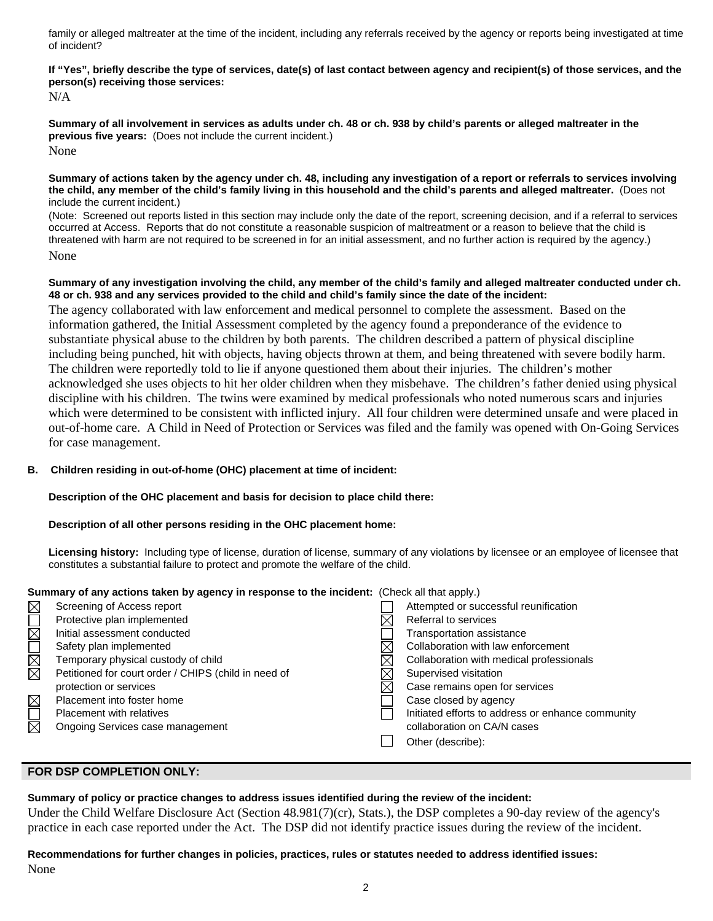family or alleged maltreater at the time of the incident, including any referrals received by the agency or reports being investigated at time of incident?

**If "Yes", briefly describe the type of services, date(s) of last contact between agency and recipient(s) of those services, and the person(s) receiving those services:** 

N/A

**Summary of all involvement in services as adults under ch. 48 or ch. 938 by child's parents or alleged maltreater in the previous five years:** (Does not include the current incident.) None

**Summary of actions taken by the agency under ch. 48, including any investigation of a report or referrals to services involving the child, any member of the child's family living in this household and the child's parents and alleged maltreater.** (Does not include the current incident.)

(Note: Screened out reports listed in this section may include only the date of the report, screening decision, and if a referral to services occurred at Access. Reports that do not constitute a reasonable suspicion of maltreatment or a reason to believe that the child is threatened with harm are not required to be screened in for an initial assessment, and no further action is required by the agency.) None

## **Summary of any investigation involving the child, any member of the child's family and alleged maltreater conducted under ch. 48 or ch. 938 and any services provided to the child and child's family since the date of the incident:**

The agency collaborated with law enforcement and medical personnel to complete the assessment. Based on the information gathered, the Initial Assessment completed by the agency found a preponderance of the evidence to substantiate physical abuse to the children by both parents. The children described a pattern of physical discipline including being punched, hit with objects, having objects thrown at them, and being threatened with severe bodily harm. The children were reportedly told to lie if anyone questioned them about their injuries. The children's mother acknowledged she uses objects to hit her older children when they misbehave. The children's father denied using physical discipline with his children. The twins were examined by medical professionals who noted numerous scars and injuries which were determined to be consistent with inflicted injury. All four children were determined unsafe and were placed in out-of-home care. A Child in Need of Protection or Services was filed and the family was opened with On-Going Services for case management.

# **B. Children residing in out-of-home (OHC) placement at time of incident:**

**Description of the OHC placement and basis for decision to place child there:**

#### **Description of all other persons residing in the OHC placement home:**

**Licensing history:** Including type of license, duration of license, summary of any violations by licensee or an employee of licensee that constitutes a substantial failure to protect and promote the welfare of the child.

# **Summary of any actions taken by agency in response to the incident:** (Check all that apply.)

| $\boxtimes$ | Screening of Access report                           |          | Attempted or successful reunification             |
|-------------|------------------------------------------------------|----------|---------------------------------------------------|
|             | Protective plan implemented                          |          | Referral to services                              |
| $\boxtimes$ | Initial assessment conducted                         |          | Transportation assistance                         |
| $\Box$      | Safety plan implemented                              |          | Collaboration with law enforcement                |
| N<br>N      | Temporary physical custody of child                  | $\times$ | Collaboration with medical professionals          |
|             | Petitioned for court order / CHIPS (child in need of |          | Supervised visitation                             |
|             | protection or services                               | X        | Case remains open for services                    |
| $\boxtimes$ | Placement into foster home                           |          | Case closed by agency                             |
| $\Box$      | <b>Placement with relatives</b>                      |          | Initiated efforts to address or enhance community |
| 岗           | Ongoing Services case management                     |          | collaboration on CA/N cases                       |
|             |                                                      |          | Other (describe):                                 |
|             |                                                      |          |                                                   |

## **FOR DSP COMPLETION ONLY:**

#### **Summary of policy or practice changes to address issues identified during the review of the incident:**

Under the Child Welfare Disclosure Act (Section 48.981(7)(cr), Stats.), the DSP completes a 90-day review of the agency's practice in each case reported under the Act. The DSP did not identify practice issues during the review of the incident.

#### **Recommendations for further changes in policies, practices, rules or statutes needed to address identified issues:** None